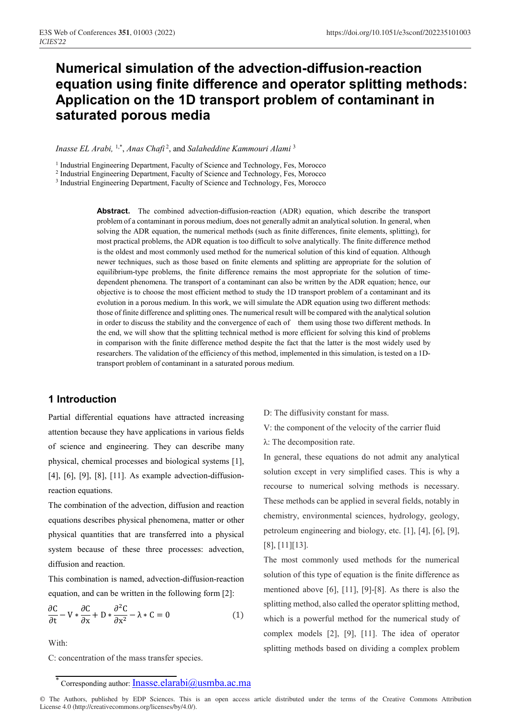# **Numerical simulation of the advection-diffusion-reaction equation using finite difference and operator splitting methods: Application on the 1D transport problem of contaminant in saturated porous media**

*Inasse EL Arabi,* 1,\*, *Anas Chafi* <sup>2</sup> , and *Salaheddine Kammouri Alami* <sup>3</sup>

<sup>1</sup> Industrial Engineering Department, Faculty of Science and Technology, Fes, Morocco

<sup>2</sup> Industrial Engineering Department, Faculty of Science and Technology, Fes, Morocco

<sup>3</sup> Industrial Engineering Department, Faculty of Science and Technology, Fes, Morocco

**Abstract.** The combined advection-diffusion-reaction (ADR) equation, which describe the transport problem of a contaminant in porous medium, does not generally admit an analytical solution. In general, when solving the ADR equation, the numerical methods (such as finite differences, finite elements, splitting), for most practical problems, the ADR equation is too difficult to solve analytically. The finite difference method is the oldest and most commonly used method for the numerical solution of this kind of equation. Although newer techniques, such as those based on finite elements and splitting are appropriate for the solution of equilibrium-type problems, the finite difference remains the most appropriate for the solution of timedependent phenomena. The transport of a contaminant can also be written by the ADR equation; hence, our objective is to choose the most efficient method to study the 1D transport problem of a contaminant and its evolution in a porous medium. In this work, we will simulate the ADR equation using two different methods: those of finite difference and splitting ones. The numerical result will be compared with the analytical solution in order to discuss the stability and the convergence of each of them using those two different methods. In the end, we will show that the splitting technical method is more efficient for solving this kind of problems in comparison with the finite difference method despite the fact that the latter is the most widely used by researchers. The validation of the efficiency of this method, implemented in this simulation, is tested on a 1Dtransport problem of contaminant in a saturated porous medium.

# **1 Introduction**

Partial differential equations have attracted increasing attention because they have applications in various fields of science and engineering. They can describe many physical, chemical processes and biological systems [1], [4], [6], [9], [8], [11]. As example advection-diffusionreaction equations.

The combination of the advection, diffusion and reaction equations describes physical phenomena, matter or other physical quantities that are transferred into a physical system because of these three processes: advection, diffusion and reaction.

This combination is named, advection-diffusion-reaction equation, and can be written in the following form [2]:

$$
\frac{\partial C}{\partial t} - V \times \frac{\partial C}{\partial x} + D \times \frac{\partial^2 C}{\partial x^2} - \lambda \times C = 0
$$
 (1)

With:

C: concentration of the mass transfer species.

V: the component of the velocity of the carrier fluid

λ: The decomposition rate.

In general, these equations do not admit any analytical solution except in very simplified cases. This is why a recourse to numerical solving methods is necessary. These methods can be applied in several fields, notably in chemistry, environmental sciences, hydrology, geology, petroleum engineering and biology, etc. [1], [4], [6], [9], [8], [11][13].

The most commonly used methods for the numerical solution of this type of equation is the finite difference as mentioned above [6], [11], [9]-[8]. As there is also the splitting method, also called the operator splitting method, which is a powerful method for the numerical study of complex models [2], [9], [11]. The idea of operator splitting methods based on dividing a complex problem

D: The diffusivity constant for mass.

Corresponding author: *Inasse.elarabi@usmba.ac.ma*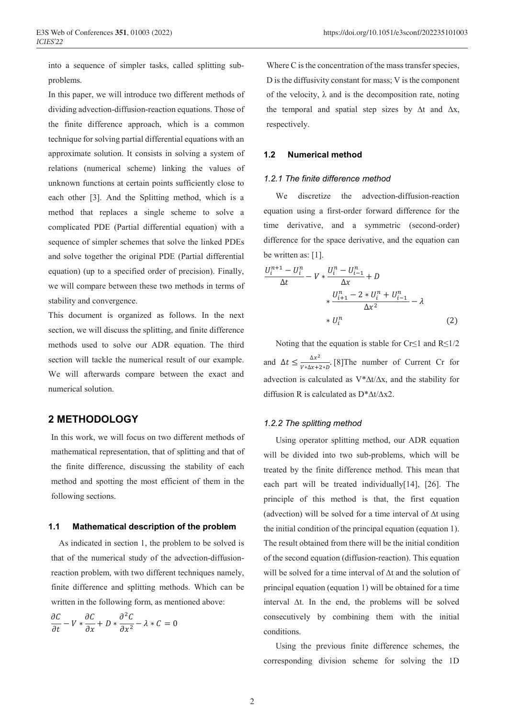into a sequence of simpler tasks, called splitting subproblems.

In this paper, we will introduce two different methods of dividing advection-diffusion-reaction equations. Those of the finite difference approach, which is a common technique for solving partial differential equations with an approximate solution. It consists in solving a system of relations (numerical scheme) linking the values of unknown functions at certain points sufficiently close to each other [3]. And the Splitting method, which is a method that replaces a single scheme to solve a complicated PDE (Partial differential equation) with a sequence of simpler schemes that solve the linked PDEs and solve together the original PDE (Partial differential equation) (up to a specified order of precision). Finally, we will compare between these two methods in terms of stability and convergence.

This document is organized as follows. In the next section, we will discuss the splitting, and finite difference methods used to solve our ADR equation. The third section will tackle the numerical result of our example. We will afterwards compare between the exact and numerical solution.

# **2 METHODOLOGY**

In this work, we will focus on two different methods of mathematical representation, that of splitting and that of the finite difference, discussing the stability of each method and spotting the most efficient of them in the following sections.

#### **1.1 Mathematical description of the problem**

 As indicated in section 1, the problem to be solved is that of the numerical study of the advection-diffusionreaction problem, with two different techniques namely, finite difference and splitting methods. Which can be written in the following form, as mentioned above:

$$
\frac{\partial C}{\partial t} - V * \frac{\partial C}{\partial x} + D * \frac{\partial^2 C}{\partial x^2} - \lambda * C = 0
$$

Where C is the concentration of the mass transfer species, D is the diffusivity constant for mass; V is the component of the velocity,  $\lambda$  and is the decomposition rate, noting the temporal and spatial step sizes by  $\Delta t$  and  $\Delta x$ , respectively.

## **1.2 Numerical method**

#### *1.2.1 The finite difference method*

We discretize the advection-diffusion-reaction equation using a first-order forward difference for the time derivative, and a symmetric (second-order) difference for the space derivative, and the equation can be written as: [1].

$$
\frac{U_i^{n+1} - U_i^n}{\Delta t} - V * \frac{U_i^n - U_{i-1}^n}{\Delta x} + D
$$
  
 
$$
* \frac{U_{i+1}^n - 2 * U_i^n + U_{i-1}^n}{\Delta x^2} - \lambda
$$
  
 
$$
* U_i^n
$$
 (2)

Noting that the equation is stable for Cr≤1 and  $R≤1/2$ and  $\Delta t \leq \frac{\Delta x^2}{V \ast \Delta x + 2 \ast D}$ . [8] The number of Current Cr for advection is calculated as V\*∆t/∆x, and the stability for diffusion R is calculated as D\*∆t/∆x2.

## *1.2.2 The splitting method*

Using operator splitting method, our ADR equation will be divided into two sub-problems, which will be treated by the finite difference method. This mean that each part will be treated individually[14], [26]. The principle of this method is that, the first equation (advection) will be solved for a time interval of ∆t using the initial condition of the principal equation (equation 1). The result obtained from there will be the initial condition of the second equation (diffusion-reaction). This equation will be solved for a time interval of ∆t and the solution of principal equation (equation 1) will be obtained for a time interval ∆t. In the end, the problems will be solved consecutively by combining them with the initial conditions.

Using the previous finite difference schemes, the corresponding division scheme for solving the 1D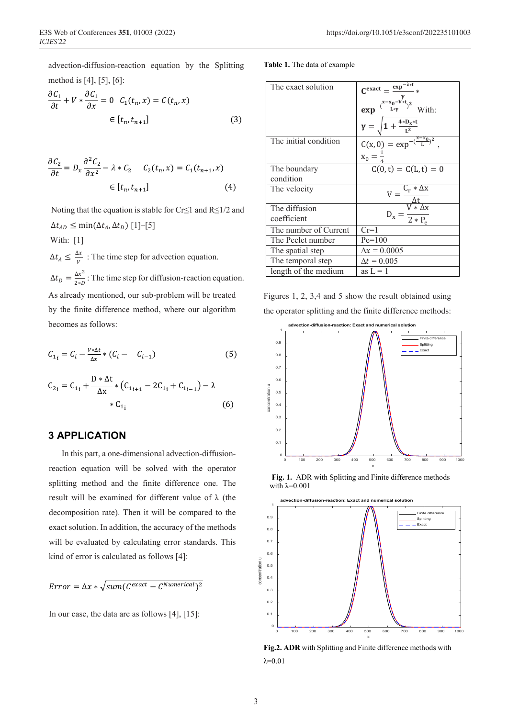advection-diffusion-reaction equation by the Splitting method is [4], [5], [6]:

$$
\frac{\partial C_1}{\partial t} + V * \frac{\partial C_1}{\partial x} = 0 \quad C_1(t_n, x) = C(t_n, x)
$$

$$
\in [t_n, t_{n+1}]
$$
(3)

$$
\frac{\partial C_2}{\partial t} = D_x \frac{\partial^2 C_2}{\partial x^2} - \lambda * C_2 \qquad C_2(t_n, x) = C_1(t_{n+1}, x)
$$

$$
\in [t_n, t_{n+1}] \tag{4}
$$

Noting that the equation is stable for Cr≤1 and R≤1/2 and  $\Delta t_{AD}$  ≤ min( $\Delta t_A$ ,  $\Delta t_D$ ) [1]–[5]

With: [1]

 $\Delta t_A \leq \frac{\Delta x}{V}$ : The time step for advection equation.  $\Delta t_D = \frac{\Delta x^2}{2*D}$ : The time step for diffusion-reaction equation. As already mentioned, our sub-problem will be treated by the finite difference method, where our algorithm becomes as follows:

$$
C_{1_i} = C_i - \frac{V * \Delta t}{\Delta x} * (C_i - C_{i-1})
$$
 (5)

$$
C_{2_i} = C_{1_i} + \frac{D * \Delta t}{\Delta x} * (C_{1_{i+1}} - 2C_{1_i} + C_{1_{i-1}}) - \lambda
$$
  
\* C<sub>1<sub>i</sub></sub> (6)

# **3 APPLICATION**

In this part, a one-dimensional advection-diffusionreaction equation will be solved with the operator splitting method and the finite difference one. The result will be examined for different value of λ (the decomposition rate). Then it will be compared to the exact solution. In addition, the accuracy of the methods will be evaluated by calculating error standards. This kind of error is calculated as follows [4]:

$$
Error = \Delta x * \sqrt{sum(C^{exact} - C^{Numerical})^2}
$$

In our case, the data are as follows [4], [15]:

#### **Table 1.** The data of example

| The exact solution    | $C^{exact} = \frac{exp^{-\lambda * t}}{k}$                |
|-----------------------|-----------------------------------------------------------|
|                       | $\exp^{-\left(\frac{x-x_0-V+t}{L*\gamma}\right)^2}$ With: |
|                       | $\gamma = \sqrt{1 + \frac{4*D_x*t}{I^2}}$                 |
| The initial condition | $C(x, 0) = exp^{-\left(\frac{x - x_0}{L}\right)^2}$ ,     |
|                       | $x_0 = \frac{1}{4}$                                       |
| The boundary          | $C(0, t) = C(L, t) = 0$                                   |
| condition             |                                                           |
| The velocity          | $\frac{C_r*\Delta x}{\Delta t}$                           |
|                       |                                                           |
| The diffusion         | $D_x = \frac{V * \Delta x}{2 * P_e}$                      |
| coefficient           |                                                           |
| The number of Current | $Cr=1$                                                    |
| The Peclet number     | $Pe = 100$                                                |
| The spatial step      | $\Delta x = 0.0005$                                       |
| The temporal step     | $\Delta t = 0.005$                                        |
| length of the medium  | as $L = 1$                                                |

Figures 1, 2, 3,4 and 5 show the result obtained using the operator splitting and the finite difference methods:



**Fig. 1.** ADR with Splitting and Finite difference methods with λ=0.001



**Fig.2. ADR** with Splitting and Finite difference methods with  $λ=0.01$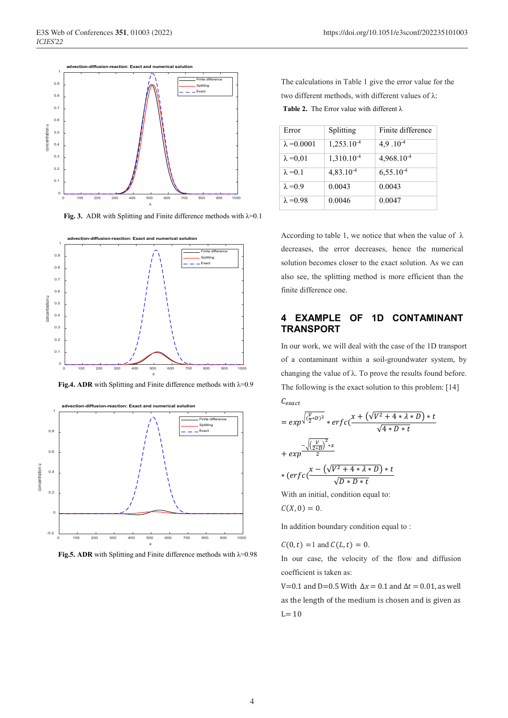

**Fig. 3.** ADR with Splitting and Finite difference methods with λ=0.1



**Fig.4. ADR** with Splitting and Finite difference methods with λ=0.9



**Fig.5. ADR** with Splitting and Finite difference methods with λ=0.98

| <b>Table 2.</b> The Error value with different $\lambda$    |  |
|-------------------------------------------------------------|--|
| two different methods, with different values of $\lambda$ : |  |
| The calculations in Table 1 give the error value for the    |  |

| Error              | Splitting              | Finite difference |
|--------------------|------------------------|-------------------|
| $\lambda = 0.0001$ | $1,253.10^{-4}$        | $4.9.10^{-4}$     |
| $\lambda = 0.01$   | 1,310.10 <sup>-4</sup> | $4,968,10^{-4}$   |
| $\lambda = 0.1$    | $4,83,10^{-4}$         | $6,55.10^{-4}$    |
| $\lambda = 0.9$    | 0.0043                 | 0.0043            |
| $\lambda = 0.98$   | 0.0046                 | 0.0047            |

According to table 1, we notice that when the value of  $\lambda$ decreases, the error decreases, hence the numerical solution becomes closer to the exact solution. As we can also see, the splitting method is more efficient than the finite difference one.

# **4 EXAMPLE OF 1D CONTAMINANT TRANSPORT**

In our work, we will deal with the case of the 1D transport of a contaminant within a soil-groundwater system, by changing the value of  $\lambda$ . To prove the results found before. The following is the exact solution to this problem: [14]

$$
C_{exact}
$$
\n
$$
= exp^{-\sqrt{\frac{V}{2}+D^{2}}} * erf c\left(\frac{x + (\sqrt{V^{2}+4*\lambda*D}) * t}{\sqrt{4*D*t}}\right)
$$
\n
$$
+ exp^{-\frac{(\frac{V}{2*D})^{2}*x}{2}}
$$
\n
$$
* (erfc\left(\frac{x - (\sqrt{V^{2}+4* \lambda*D}) * t}{\sqrt{D*D*t}}\right)
$$
\nWith an initial condition equal to:

With an initial, condition equal to:

$$
C(X,0)=0.
$$

In addition boundary condition equal to :

 $C(0,t) = 1$  and  $C(L,t) = 0$ .

In our case, the velocity of the flow and diffusion coefficient is taken as:

V=0.1 and D=0.5 With  $\Delta x = 0.1$  and  $\Delta t = 0.01$ , as well as the length of the medium is chosen and is given as  $L= 10$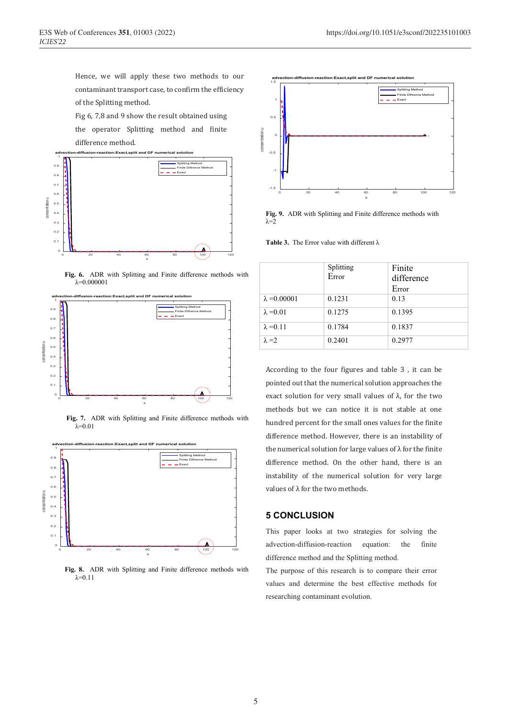Hence, we will apply these two methods to our contaminant transport case, to confirm the efficiency of the Splitting method.

Fig 6, 7,8 and 9 show the result obtained using

the operator Splitting method and finite difference method.



**Fig. 6.** ADR with Splitting and Finite difference methods with  $λ=0.000001$ 



**Fig. 7.** ADR with Splitting and Finite difference methods with  $λ=0.01$ 



**Fig. 8.** ADR with Splitting and Finite difference methods with  $\lambda$ =0.11



**Fig. 9.** ADR with Splitting and Finite difference methods with  $λ=2$ 

**Table 3.** The Error value with different λ

|                     | Splitting<br>Error | Finite<br>difference<br>Error |
|---------------------|--------------------|-------------------------------|
| $\lambda = 0.00001$ | 0.1231             | 0.13                          |
| $\lambda = 0.01$    | 0.1275             | 0.1395                        |
| $\lambda = 0.11$    | 0.1784             | 0.1837                        |
| $\lambda = 2$       | 0.2401             | 0.2977                        |

According to the four figures and table 3 , it can be pointed out that the numerical solution approaches the exact solution for very small values of  $\lambda$ , for the two methods but we can notice it is not stable at one hundred percent for the small ones values for the finite difference method. However, there is an instability of the numerical solution for large values of  $\lambda$  for the finite difference method. On the other hand, there is an instability of the numerical solution for very large values of λ for the two methods.

#### **5 CONCLUSION**

This paper looks at two strategies for solving the advection-diffusion-reaction equation: the finite difference method and the Splitting method.

The purpose of this research is to compare their error values and determine the best effective methods for researching contaminant evolution.